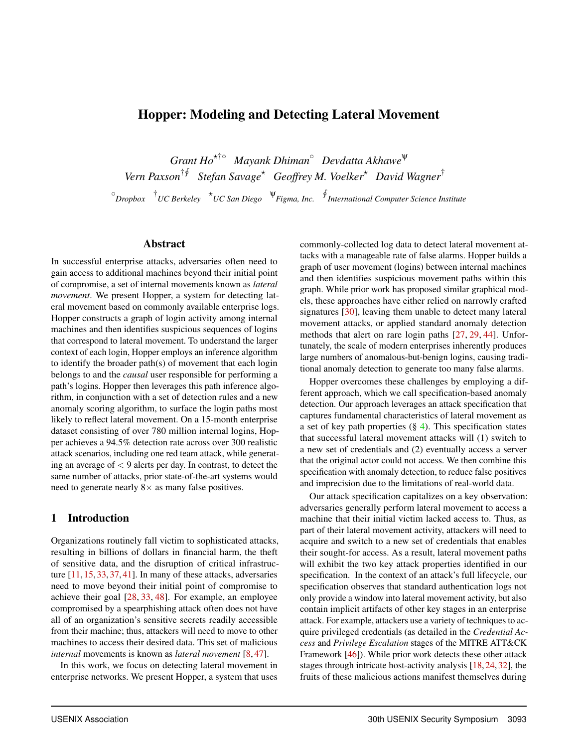## Hopper: Modeling and Detecting Lateral Movement

*Grant Ho*�†◦ *Mayank Dhiman*◦ *Devdatta Akhawe*<sup>ψ</sup> *Vern Paxson*† � *Stefan Savage*� *Geoffrey M. Voelker*� *David Wagner*† ◦ *Dropbox* † *UC Berkeley* � *UC San Diego* <sup>ψ</sup>*Figma, Inc.* � *International Computer Science Institute*

### Abstract

In successful enterprise attacks, adversaries often need to gain access to additional machines beyond their initial point of compromise, a set of internal movements known as *lateral movement*. We present Hopper, a system for detecting lateral movement based on commonly available enterprise logs. Hopper constructs a graph of login activity among internal machines and then identifies suspicious sequences of logins that correspond to lateral movement. To understand the larger context of each login, Hopper employs an inference algorithm to identify the broader path(s) of movement that each login belongs to and the *causal* user responsible for performing a path's logins. Hopper then leverages this path inference algorithm, in conjunction with a set of detection rules and a new anomaly scoring algorithm, to surface the login paths most likely to reflect lateral movement. On a 15-month enterprise dataset consisting of over 780 million internal logins, Hopper achieves a 94.5% detection rate across over 300 realistic attack scenarios, including one red team attack, while generating an average of  $\lt 9$  alerts per day. In contrast, to detect the same number of attacks, prior state-of-the-art systems would need to generate nearly  $8 \times$  as many false positives.

### 1 Introduction

Organizations routinely fall victim to sophisticated attacks, resulting in billions of dollars in financial harm, the theft of sensitive data, and the disruption of critical infrastructure [11, 15, 33, 37, 41]. In many of these attacks, adversaries need to move beyond their initial point of compromise to achieve their goal [28, 33, 48]. For example, an employee compromised by a spearphishing attack often does not have all of an organization's sensitive secrets readily accessible from their machine; thus, attackers will need to move to other machines to access their desired data. This set of malicious *internal* movements is known as *lateral movement* [8, 47].

In this work, we focus on detecting lateral movement in enterprise networks. We present Hopper, a system that uses commonly-collected log data to detect lateral movement attacks with a manageable rate of false alarms. Hopper builds a graph of user movement (logins) between internal machines and then identifies suspicious movement paths within this graph. While prior work has proposed similar graphical models, these approaches have either relied on narrowly crafted signatures [30], leaving them unable to detect many lateral movement attacks, or applied standard anomaly detection methods that alert on rare login paths [27, 29, 44]. Unfortunately, the scale of modern enterprises inherently produces large numbers of anomalous-but-benign logins, causing traditional anomaly detection to generate too many false alarms.

Hopper overcomes these challenges by employing a different approach, which we call specification-based anomaly detection. Our approach leverages an attack specification that captures fundamental characteristics of lateral movement as a set of key path properties  $(\S 4)$ . This specification states that successful lateral movement attacks will (1) switch to a new set of credentials and (2) eventually access a server that the original actor could not access. We then combine this specification with anomaly detection, to reduce false positives and imprecision due to the limitations of real-world data.

Our attack specification capitalizes on a key observation: adversaries generally perform lateral movement to access a machine that their initial victim lacked access to. Thus, as part of their lateral movement activity, attackers will need to acquire and switch to a new set of credentials that enables their sought-for access. As a result, lateral movement paths will exhibit the two key attack properties identified in our specification. In the context of an attack's full lifecycle, our specification observes that standard authentication logs not only provide a window into lateral movement activity, but also contain implicit artifacts of other key stages in an enterprise attack. For example, attackers use a variety of techniques to acquire privileged credentials (as detailed in the *Credential Access* and *Privilege Escalation* stages of the MITRE ATT&CK Framework [46]). While prior work detects these other attack stages through intricate host-activity analysis [18, 24, 32], the fruits of these malicious actions manifest themselves during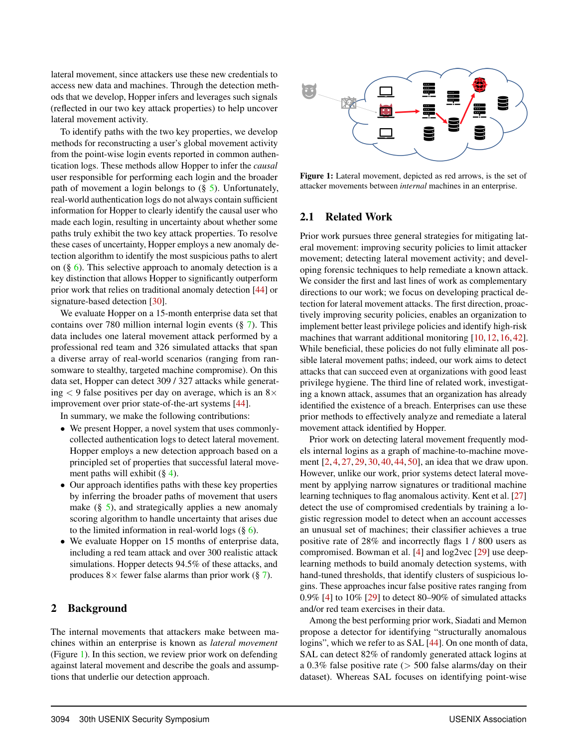lateral movement, since attackers use these new credentials to access new data and machines. Through the detection methods that we develop, Hopper infers and leverages such signals (reflected in our two key attack properties) to help uncover lateral movement activity.

To identify paths with the two key properties, we develop methods for reconstructing a user's global movement activity from the point-wise login events reported in common authentication logs. These methods allow Hopper to infer the *causal* user responsible for performing each login and the broader path of movement a login belongs to (§ 5). Unfortunately, real-world authentication logs do not always contain sufficient information for Hopper to clearly identify the causal user who made each login, resulting in uncertainty about whether some paths truly exhibit the two key attack properties. To resolve these cases of uncertainty, Hopper employs a new anomaly detection algorithm to identify the most suspicious paths to alert on  $(\S 6)$ . This selective approach to anomaly detection is a key distinction that allows Hopper to significantly outperform prior work that relies on traditional anomaly detection [44] or signature-based detection [30].

We evaluate Hopper on a 15-month enterprise data set that contains over 780 million internal login events (§ 7). This data includes one lateral movement attack performed by a professional red team and 326 simulated attacks that span a diverse array of real-world scenarios (ranging from ransomware to stealthy, targeted machine compromise). On this data set, Hopper can detect 309 / 327 attacks while generating  $\lt 9$  false positives per day on average, which is an  $8\times$ improvement over prior state-of-the-art systems [44].

In summary, we make the following contributions:

- We present Hopper, a novel system that uses commonlycollected authentication logs to detect lateral movement. Hopper employs a new detection approach based on a principled set of properties that successful lateral movement paths will exhibit  $(\S 4)$ .
- Our approach identifies paths with these key properties by inferring the broader paths of movement that users make  $(\S$  5), and strategically applies a new anomaly scoring algorithm to handle uncertainty that arises due to the limited information in real-world logs  $(\S 6)$ .
- We evaluate Hopper on 15 months of enterprise data, including a red team attack and over 300 realistic attack simulations. Hopper detects 94.5% of these attacks, and produces  $8 \times$  fewer false alarms than prior work (§ 7).

### 2 Background

The internal movements that attackers make between machines within an enterprise is known as *lateral movement* (Figure 1). In this section, we review prior work on defending against lateral movement and describe the goals and assumptions that underlie our detection approach.



Figure 1: Lateral movement, depicted as red arrows, is the set of attacker movements between *internal* machines in an enterprise.

## 2.1 Related Work

Prior work pursues three general strategies for mitigating lateral movement: improving security policies to limit attacker movement; detecting lateral movement activity; and developing forensic techniques to help remediate a known attack. We consider the first and last lines of work as complementary directions to our work; we focus on developing practical detection for lateral movement attacks. The first direction, proactively improving security policies, enables an organization to implement better least privilege policies and identify high-risk machines that warrant additional monitoring [10, 12, 16, 42]. While beneficial, these policies do not fully eliminate all possible lateral movement paths; indeed, our work aims to detect attacks that can succeed even at organizations with good least privilege hygiene. The third line of related work, investigating a known attack, assumes that an organization has already identified the existence of a breach. Enterprises can use these prior methods to effectively analyze and remediate a lateral movement attack identified by Hopper.

Prior work on detecting lateral movement frequently models internal logins as a graph of machine-to-machine movement [2, 4, 27, 29, 30, 40, 44, 50], an idea that we draw upon. However, unlike our work, prior systems detect lateral movement by applying narrow signatures or traditional machine learning techniques to flag anomalous activity. Kent et al. [27] detect the use of compromised credentials by training a logistic regression model to detect when an account accesses an unusual set of machines; their classifier achieves a true positive rate of 28% and incorrectly flags 1 / 800 users as compromised. Bowman et al. [4] and log2vec [29] use deeplearning methods to build anomaly detection systems, with hand-tuned thresholds, that identify clusters of suspicious logins. These approaches incur false positive rates ranging from 0.9% [4] to 10% [29] to detect 80–90% of simulated attacks and/or red team exercises in their data.

Among the best performing prior work, Siadati and Memon propose a detector for identifying "structurally anomalous logins", which we refer to as SAL [44]. On one month of data, SAL can detect 82% of randomly generated attack logins at a 0.3% false positive rate (> 500 false alarms/day on their dataset). Whereas SAL focuses on identifying point-wise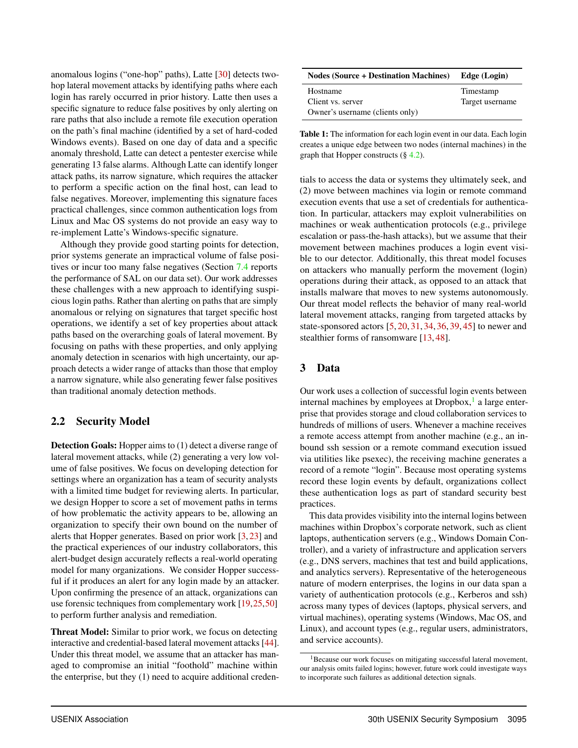anomalous logins ("one-hop" paths), Latte [30] detects twohop lateral movement attacks by identifying paths where each login has rarely occurred in prior history. Latte then uses a specific signature to reduce false positives by only alerting on rare paths that also include a remote file execution operation on the path's final machine (identified by a set of hard-coded Windows events). Based on one day of data and a specific anomaly threshold, Latte can detect a pentester exercise while generating 13 false alarms. Although Latte can identify longer attack paths, its narrow signature, which requires the attacker to perform a specific action on the final host, can lead to false negatives. Moreover, implementing this signature faces practical challenges, since common authentication logs from Linux and Mac OS systems do not provide an easy way to re-implement Latte's Windows-specific signature.

Although they provide good starting points for detection, prior systems generate an impractical volume of false positives or incur too many false negatives (Section 7.4 reports the performance of SAL on our data set). Our work addresses these challenges with a new approach to identifying suspicious login paths. Rather than alerting on paths that are simply anomalous or relying on signatures that target specific host operations, we identify a set of key properties about attack paths based on the overarching goals of lateral movement. By focusing on paths with these properties, and only applying anomaly detection in scenarios with high uncertainty, our approach detects a wider range of attacks than those that employ a narrow signature, while also generating fewer false positives than traditional anomaly detection methods.

## 2.2 Security Model

Detection Goals: Hopper aims to (1) detect a diverse range of lateral movement attacks, while (2) generating a very low volume of false positives. We focus on developing detection for settings where an organization has a team of security analysts with a limited time budget for reviewing alerts. In particular, we design Hopper to score a set of movement paths in terms of how problematic the activity appears to be, allowing an organization to specify their own bound on the number of alerts that Hopper generates. Based on prior work [3, 23] and the practical experiences of our industry collaborators, this alert-budget design accurately reflects a real-world operating model for many organizations. We consider Hopper successful if it produces an alert for any login made by an attacker. Upon confirming the presence of an attack, organizations can use forensic techniques from complementary work [19,25,50] to perform further analysis and remediation.

Threat Model: Similar to prior work, we focus on detecting interactive and credential-based lateral movement attacks [44]. Under this threat model, we assume that an attacker has managed to compromise an initial "foothold" machine within the enterprise, but they (1) need to acquire additional creden-

| <b>Nodes (Source + Destination Machines)</b>                     | Edge (Login)                 |
|------------------------------------------------------------------|------------------------------|
| Hostname<br>Client vs. server<br>Owner's username (clients only) | Timestamp<br>Target username |

Table 1: The information for each login event in our data. Each login creates a unique edge between two nodes (internal machines) in the graph that Hopper constructs  $(\S 4.2)$ .

tials to access the data or systems they ultimately seek, and (2) move between machines via login or remote command execution events that use a set of credentials for authentication. In particular, attackers may exploit vulnerabilities on machines or weak authentication protocols (e.g., privilege escalation or pass-the-hash attacks), but we assume that their movement between machines produces a login event visible to our detector. Additionally, this threat model focuses on attackers who manually perform the movement (login) operations during their attack, as opposed to an attack that installs malware that moves to new systems autonomously. Our threat model reflects the behavior of many real-world lateral movement attacks, ranging from targeted attacks by state-sponsored actors [5, 20, 31, 34, 36, 39, 45] to newer and stealthier forms of ransomware [13, 48].

### 3 Data

Our work uses a collection of successful login events between internal machines by employees at  $Dropbox, 1$  a large enterprise that provides storage and cloud collaboration services to hundreds of millions of users. Whenever a machine receives a remote access attempt from another machine (e.g., an inbound ssh session or a remote command execution issued via utilities like psexec), the receiving machine generates a record of a remote "login". Because most operating systems record these login events by default, organizations collect these authentication logs as part of standard security best practices.

This data provides visibility into the internal logins between machines within Dropbox's corporate network, such as client laptops, authentication servers (e.g., Windows Domain Controller), and a variety of infrastructure and application servers (e.g., DNS servers, machines that test and build applications, and analytics servers). Representative of the heterogeneous nature of modern enterprises, the logins in our data span a variety of authentication protocols (e.g., Kerberos and ssh) across many types of devices (laptops, physical servers, and virtual machines), operating systems (Windows, Mac OS, and Linux), and account types (e.g., regular users, administrators, and service accounts).

<sup>&</sup>lt;sup>1</sup>Because our work focuses on mitigating successful lateral movement, our analysis omits failed logins; however, future work could investigate ways to incorporate such failures as additional detection signals.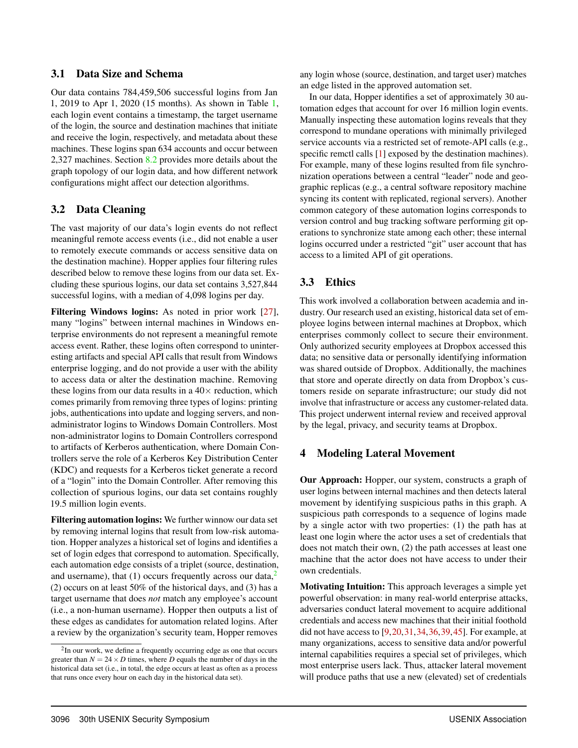### 3.1 Data Size and Schema

Our data contains 784,459,506 successful logins from Jan 1, 2019 to Apr 1, 2020 (15 months). As shown in Table 1, each login event contains a timestamp, the target username of the login, the source and destination machines that initiate and receive the login, respectively, and metadata about these machines. These logins span 634 accounts and occur between 2,327 machines. Section 8.2 provides more details about the graph topology of our login data, and how different network configurations might affect our detection algorithms.

# 3.2 Data Cleaning

The vast majority of our data's login events do not reflect meaningful remote access events (i.e., did not enable a user to remotely execute commands or access sensitive data on the destination machine). Hopper applies four filtering rules described below to remove these logins from our data set. Excluding these spurious logins, our data set contains 3,527,844 successful logins, with a median of 4,098 logins per day.

Filtering Windows logins: As noted in prior work [27], many "logins" between internal machines in Windows enterprise environments do not represent a meaningful remote access event. Rather, these logins often correspond to uninteresting artifacts and special API calls that result from Windows enterprise logging, and do not provide a user with the ability to access data or alter the destination machine. Removing these logins from our data results in a  $40\times$  reduction, which comes primarily from removing three types of logins: printing jobs, authentications into update and logging servers, and nonadministrator logins to Windows Domain Controllers. Most non-administrator logins to Domain Controllers correspond to artifacts of Kerberos authentication, where Domain Controllers serve the role of a Kerberos Key Distribution Center (KDC) and requests for a Kerberos ticket generate a record of a "login" into the Domain Controller. After removing this collection of spurious logins, our data set contains roughly 19.5 million login events.

Filtering automation logins: We further winnow our data set by removing internal logins that result from low-risk automation. Hopper analyzes a historical set of logins and identifies a set of login edges that correspond to automation. Specifically, each automation edge consists of a triplet (source, destination, and username), that  $(1)$  occurs frequently across our data,<sup>2</sup> (2) occurs on at least 50% of the historical days, and (3) has a target username that does *not* match any employee's account (i.e., a non-human username). Hopper then outputs a list of these edges as candidates for automation related logins. After a review by the organization's security team, Hopper removes

any login whose (source, destination, and target user) matches an edge listed in the approved automation set.

In our data, Hopper identifies a set of approximately 30 automation edges that account for over 16 million login events. Manually inspecting these automation logins reveals that they correspond to mundane operations with minimally privileged service accounts via a restricted set of remote-API calls (e.g., specific remctl calls [1] exposed by the destination machines). For example, many of these logins resulted from file synchronization operations between a central "leader" node and geographic replicas (e.g., a central software repository machine syncing its content with replicated, regional servers). Another common category of these automation logins corresponds to version control and bug tracking software performing git operations to synchronize state among each other; these internal logins occurred under a restricted "git" user account that has access to a limited API of git operations.

# 3.3 Ethics

This work involved a collaboration between academia and industry. Our research used an existing, historical data set of employee logins between internal machines at Dropbox, which enterprises commonly collect to secure their environment. Only authorized security employees at Dropbox accessed this data; no sensitive data or personally identifying information was shared outside of Dropbox. Additionally, the machines that store and operate directly on data from Dropbox's customers reside on separate infrastructure; our study did not involve that infrastructure or access any customer-related data. This project underwent internal review and received approval by the legal, privacy, and security teams at Dropbox.

## 4 Modeling Lateral Movement

Our Approach: Hopper, our system, constructs a graph of user logins between internal machines and then detects lateral movement by identifying suspicious paths in this graph. A suspicious path corresponds to a sequence of logins made by a single actor with two properties: (1) the path has at least one login where the actor uses a set of credentials that does not match their own, (2) the path accesses at least one machine that the actor does not have access to under their own credentials.

Motivating Intuition: This approach leverages a simple yet powerful observation: in many real-world enterprise attacks, adversaries conduct lateral movement to acquire additional credentials and access new machines that their initial foothold did not have access to [9,20,31,34,36,39,45]. For example, at many organizations, access to sensitive data and/or powerful internal capabilities requires a special set of privileges, which most enterprise users lack. Thus, attacker lateral movement will produce paths that use a new (elevated) set of credentials

<sup>&</sup>lt;sup>2</sup>In our work, we define a frequently occurring edge as one that occurs greater than  $N = 24 \times D$  times, where *D* equals the number of days in the historical data set (i.e., in total, the edge occurs at least as often as a process that runs once every hour on each day in the historical data set).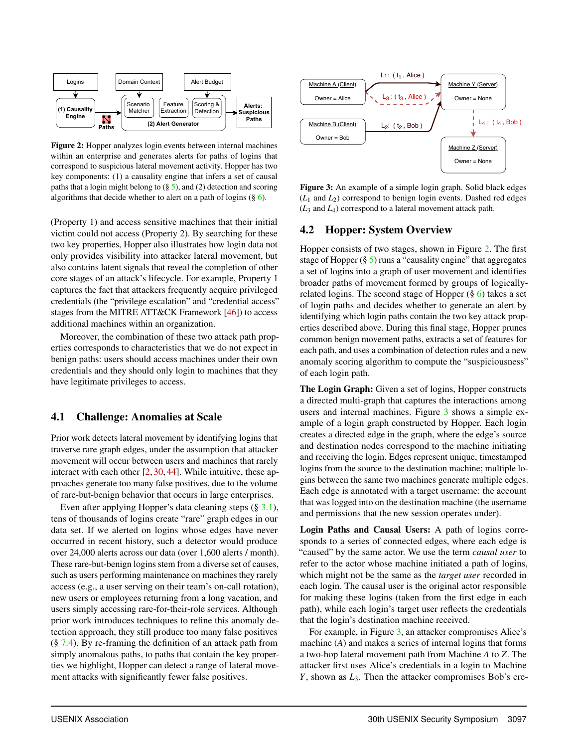

Figure 2: Hopper analyzes login events between internal machines within an enterprise and generates alerts for paths of logins that correspond to suspicious lateral movement activity. Hopper has two key components: (1) a causality engine that infers a set of causal paths that a login might belong to  $(\S 5)$ , and (2) detection and scoring algorithms that decide whether to alert on a path of logins (§ 6).

(Property 1) and access sensitive machines that their initial victim could not access (Property 2). By searching for these two key properties, Hopper also illustrates how login data not only provides visibility into attacker lateral movement, but also contains latent signals that reveal the completion of other core stages of an attack's lifecycle. For example, Property 1 captures the fact that attackers frequently acquire privileged credentials (the "privilege escalation" and "credential access" stages from the MITRE ATT&CK Framework [46]) to access additional machines within an organization.

Moreover, the combination of these two attack path properties corresponds to characteristics that we do not expect in benign paths: users should access machines under their own credentials and they should only login to machines that they have legitimate privileges to access.

### 4.1 Challenge: Anomalies at Scale

Prior work detects lateral movement by identifying logins that traverse rare graph edges, under the assumption that attacker movement will occur between users and machines that rarely interact with each other [2, 30, 44]. While intuitive, these approaches generate too many false positives, due to the volume of rare-but-benign behavior that occurs in large enterprises.

Even after applying Hopper's data cleaning steps (§ 3.1), tens of thousands of logins create "rare" graph edges in our data set. If we alerted on logins whose edges have never occurred in recent history, such a detector would produce over 24,000 alerts across our data (over 1,600 alerts / month). These rare-but-benign logins stem from a diverse set of causes, such as users performing maintenance on machines they rarely access (e.g., a user serving on their team's on-call rotation), new users or employees returning from a long vacation, and users simply accessing rare-for-their-role services. Although prior work introduces techniques to refine this anomaly detection approach, they still produce too many false positives  $(\S 7.4)$ . By re-framing the definition of an attack path from simply anomalous paths, to paths that contain the key properties we highlight, Hopper can detect a range of lateral movement attacks with significantly fewer false positives.



Figure 3: An example of a simple login graph. Solid black edges (*L*<sup>1</sup> and *L*2) correspond to benign login events. Dashed red edges (*L*<sup>3</sup> and *L*4) correspond to a lateral movement attack path.

### 4.2 Hopper: System Overview

Hopper consists of two stages, shown in Figure 2. The first stage of Hopper  $(\S 5)$  runs a "causality engine" that aggregates a set of logins into a graph of user movement and identifies broader paths of movement formed by groups of logicallyrelated logins. The second stage of Hopper (§ 6) takes a set of login paths and decides whether to generate an alert by identifying which login paths contain the two key attack properties described above. During this final stage, Hopper prunes common benign movement paths, extracts a set of features for each path, and uses a combination of detection rules and a new anomaly scoring algorithm to compute the "suspiciousness" of each login path.

The Login Graph: Given a set of logins, Hopper constructs a directed multi-graph that captures the interactions among users and internal machines. Figure 3 shows a simple example of a login graph constructed by Hopper. Each login creates a directed edge in the graph, where the edge's source and destination nodes correspond to the machine initiating and receiving the login. Edges represent unique, timestamped logins from the source to the destination machine; multiple logins between the same two machines generate multiple edges. Each edge is annotated with a target username: the account that was logged into on the destination machine (the username and permissions that the new session operates under).

Login Paths and Causal Users: A path of logins corresponds to a series of connected edges, where each edge is "caused" by the same actor. We use the term *causal user* to refer to the actor whose machine initiated a path of logins, which might not be the same as the *target user* recorded in each login. The causal user is the original actor responsible for making these logins (taken from the first edge in each path), while each login's target user reflects the credentials that the login's destination machine received.

For example, in Figure 3, an attacker compromises Alice's machine (*A*) and makes a series of internal logins that forms a two-hop lateral movement path from Machine *A* to *Z*. The attacker first uses Alice's credentials in a login to Machine *Y*, shown as *L*3. Then the attacker compromises Bob's cre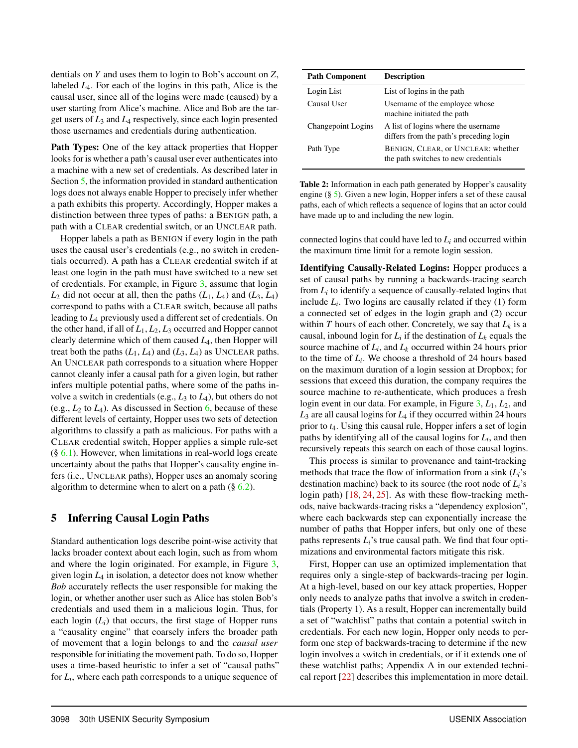dentials on *Y* and uses them to login to Bob's account on *Z*, labeled *L*4. For each of the logins in this path, Alice is the causal user, since all of the logins were made (caused) by a user starting from Alice's machine. Alice and Bob are the target users of *L*<sup>3</sup> and *L*<sup>4</sup> respectively, since each login presented those usernames and credentials during authentication.

Path Types: One of the key attack properties that Hopper looks for is whether a path's causal user ever authenticates into a machine with a new set of credentials. As described later in Section 5, the information provided in standard authentication logs does not always enable Hopper to precisely infer whether a path exhibits this property. Accordingly, Hopper makes a distinction between three types of paths: a BENIGN path, a path with a CLEAR credential switch, or an UNCLEAR path.

Hopper labels a path as BENIGN if every login in the path uses the causal user's credentials (e.g., no switch in credentials occurred). A path has a CLEAR credential switch if at least one login in the path must have switched to a new set of credentials. For example, in Figure 3, assume that login  $L_2$  did not occur at all, then the paths  $(L_1, L_4)$  and  $(L_3, L_4)$ correspond to paths with a CLEAR switch, because all paths leading to *L*<sup>4</sup> previously used a different set of credentials. On the other hand, if all of *L*1, *L*2, *L*<sup>3</sup> occurred and Hopper cannot clearly determine which of them caused *L*4, then Hopper will treat both the paths  $(L_1, L_4)$  and  $(L_3, L_4)$  as UNCLEAR paths. An UNCLEAR path corresponds to a situation where Hopper cannot cleanly infer a causal path for a given login, but rather infers multiple potential paths, where some of the paths involve a switch in credentials (e.g., *L*<sup>3</sup> to *L*4), but others do not (e.g.,  $L_2$  to  $L_4$ ). As discussed in Section 6, because of these different levels of certainty, Hopper uses two sets of detection algorithms to classify a path as malicious. For paths with a CLEAR credential switch, Hopper applies a simple rule-set  $(\S 6.1)$ . However, when limitations in real-world logs create uncertainty about the paths that Hopper's causality engine infers (i.e., UNCLEAR paths), Hopper uses an anomaly scoring algorithm to determine when to alert on a path  $(\S 6.2)$ .

## 5 Inferring Causal Login Paths

Standard authentication logs describe point-wise activity that lacks broader context about each login, such as from whom and where the login originated. For example, in Figure 3, given login *L*<sup>4</sup> in isolation, a detector does not know whether *Bob* accurately reflects the user responsible for making the login, or whether another user such as Alice has stolen Bob's credentials and used them in a malicious login. Thus, for each login  $(L_i)$  that occurs, the first stage of Hopper runs a "causality engine" that coarsely infers the broader path of movement that a login belongs to and the *causal user* responsible for initiating the movement path. To do so, Hopper uses a time-based heuristic to infer a set of "causal paths" for *Li*, where each path corresponds to a unique sequence of

| <b>Path Component</b> | <b>Description</b>                                                              |
|-----------------------|---------------------------------------------------------------------------------|
| Login List            | List of logins in the path                                                      |
| Causal User           | Username of the employee whose<br>machine initiated the path                    |
| Changepoint Logins    | A list of logins where the username.<br>differs from the path's preceding login |
| Path Type             | BENIGN, CLEAR, or UNCLEAR: whether<br>the path switches to new credentials      |

Table 2: Information in each path generated by Hopper's causality engine (§ 5). Given a new login, Hopper infers a set of these causal paths, each of which reflects a sequence of logins that an actor could have made up to and including the new login.

connected logins that could have led to *Li* and occurred within the maximum time limit for a remote login session.

Identifying Causally-Related Logins: Hopper produces a set of causal paths by running a backwards-tracing search from *Li* to identify a sequence of causally-related logins that include  $L_i$ . Two logins are causally related if they  $(1)$  form a connected set of edges in the login graph and (2) occur within  $T$  hours of each other. Concretely, we say that  $L_k$  is a causal, inbound login for  $L_i$  if the destination of  $L_k$  equals the source machine of  $L_i$ , and  $L_k$  occurred within 24 hours prior to the time of *Li*. We choose a threshold of 24 hours based on the maximum duration of a login session at Dropbox; for sessions that exceed this duration, the company requires the source machine to re-authenticate, which produces a fresh login event in our data. For example, in Figure 3, *L*1, *L*2, and  $L_3$  are all causal logins for  $L_4$  if they occurred within 24 hours prior to *t*4. Using this causal rule, Hopper infers a set of login paths by identifying all of the causal logins for *Li*, and then recursively repeats this search on each of those causal logins.

This process is similar to provenance and taint-tracking methods that trace the flow of information from a sink (*Li*'s destination machine) back to its source (the root node of *Li*'s login path) [18, 24, 25]. As with these flow-tracking methods, naive backwards-tracing risks a "dependency explosion", where each backwards step can exponentially increase the number of paths that Hopper infers, but only one of these paths represents *Li*'s true causal path. We find that four optimizations and environmental factors mitigate this risk.

First, Hopper can use an optimized implementation that requires only a single-step of backwards-tracing per login. At a high-level, based on our key attack properties, Hopper only needs to analyze paths that involve a switch in credentials (Property 1). As a result, Hopper can incrementally build a set of "watchlist" paths that contain a potential switch in credentials. For each new login, Hopper only needs to perform one step of backwards-tracing to determine if the new login involves a switch in credentials, or if it extends one of these watchlist paths; Appendix A in our extended technical report [22] describes this implementation in more detail.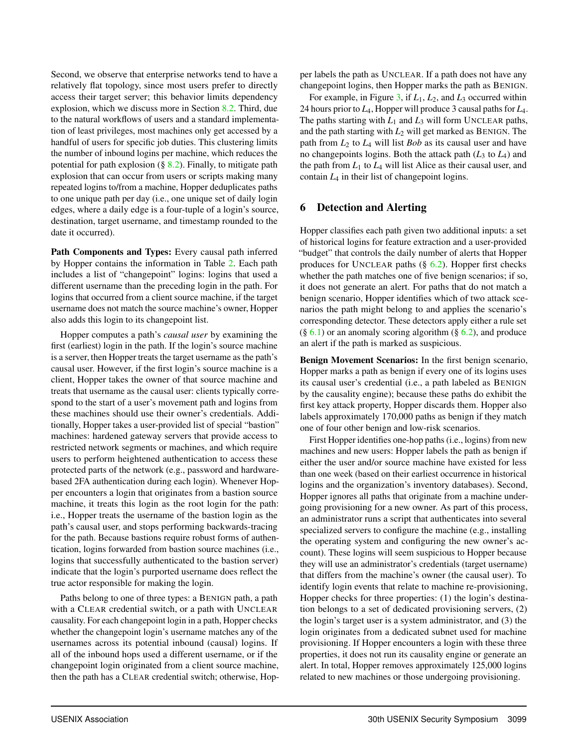Second, we observe that enterprise networks tend to have a relatively flat topology, since most users prefer to directly access their target server; this behavior limits dependency explosion, which we discuss more in Section 8.2. Third, due to the natural workflows of users and a standard implementation of least privileges, most machines only get accessed by a handful of users for specific job duties. This clustering limits the number of inbound logins per machine, which reduces the potential for path explosion  $(\S$  8.2). Finally, to mitigate path explosion that can occur from users or scripts making many repeated logins to/from a machine, Hopper deduplicates paths to one unique path per day (i.e., one unique set of daily login edges, where a daily edge is a four-tuple of a login's source, destination, target username, and timestamp rounded to the date it occurred).

Path Components and Types: Every causal path inferred by Hopper contains the information in Table 2. Each path includes a list of "changepoint" logins: logins that used a different username than the preceding login in the path. For logins that occurred from a client source machine, if the target username does not match the source machine's owner, Hopper also adds this login to its changepoint list.

Hopper computes a path's *causal user* by examining the first (earliest) login in the path. If the login's source machine is a server, then Hopper treats the target username as the path's causal user. However, if the first login's source machine is a client, Hopper takes the owner of that source machine and treats that username as the causal user: clients typically correspond to the start of a user's movement path and logins from these machines should use their owner's credentials. Additionally, Hopper takes a user-provided list of special "bastion" machines: hardened gateway servers that provide access to restricted network segments or machines, and which require users to perform heightened authentication to access these protected parts of the network (e.g., password and hardwarebased 2FA authentication during each login). Whenever Hopper encounters a login that originates from a bastion source machine, it treats this login as the root login for the path: i.e., Hopper treats the username of the bastion login as the path's causal user, and stops performing backwards-tracing for the path. Because bastions require robust forms of authentication, logins forwarded from bastion source machines (i.e., logins that successfully authenticated to the bastion server) indicate that the login's purported username does reflect the true actor responsible for making the login.

Paths belong to one of three types: a BENIGN path, a path with a CLEAR credential switch, or a path with UNCLEAR causality. For each changepoint login in a path, Hopper checks whether the changepoint login's username matches any of the usernames across its potential inbound (causal) logins. If all of the inbound hops used a different username, or if the changepoint login originated from a client source machine, then the path has a CLEAR credential switch; otherwise, Hopper labels the path as UNCLEAR. If a path does not have any changepoint logins, then Hopper marks the path as BENIGN.

For example, in Figure 3, if *L*1, *L*2, and *L*<sup>3</sup> occurred within 24 hours prior to *L*4, Hopper will produce 3 causal paths for *L*4. The paths starting with  $L_1$  and  $L_3$  will form UNCLEAR paths, and the path starting with  $L_2$  will get marked as BENIGN. The path from *L*<sup>2</sup> to *L*<sup>4</sup> will list *Bob* as its causal user and have no changepoints logins. Both the attack path  $(L_3 \text{ to } L_4)$  and the path from  $L_1$  to  $L_4$  will list Alice as their causal user, and contain *L*<sup>4</sup> in their list of changepoint logins.

## 6 Detection and Alerting

Hopper classifies each path given two additional inputs: a set of historical logins for feature extraction and a user-provided "budget" that controls the daily number of alerts that Hopper produces for UNCLEAR paths  $(\S$  6.2). Hopper first checks whether the path matches one of five benign scenarios; if so, it does not generate an alert. For paths that do not match a benign scenario, Hopper identifies which of two attack scenarios the path might belong to and applies the scenario's corresponding detector. These detectors apply either a rule set  $(\S 6.1)$  or an anomaly scoring algorithm  $(\S 6.2)$ , and produce an alert if the path is marked as suspicious.

Benign Movement Scenarios: In the first benign scenario, Hopper marks a path as benign if every one of its logins uses its causal user's credential (i.e., a path labeled as BENIGN by the causality engine); because these paths do exhibit the first key attack property, Hopper discards them. Hopper also labels approximately 170,000 paths as benign if they match one of four other benign and low-risk scenarios.

First Hopper identifies one-hop paths (i.e., logins) from new machines and new users: Hopper labels the path as benign if either the user and/or source machine have existed for less than one week (based on their earliest occurrence in historical logins and the organization's inventory databases). Second, Hopper ignores all paths that originate from a machine undergoing provisioning for a new owner. As part of this process, an administrator runs a script that authenticates into several specialized servers to configure the machine (e.g., installing the operating system and configuring the new owner's account). These logins will seem suspicious to Hopper because they will use an administrator's credentials (target username) that differs from the machine's owner (the causal user). To identify login events that relate to machine re-provisioning, Hopper checks for three properties: (1) the login's destination belongs to a set of dedicated provisioning servers, (2) the login's target user is a system administrator, and (3) the login originates from a dedicated subnet used for machine provisioning. If Hopper encounters a login with these three properties, it does not run its causality engine or generate an alert. In total, Hopper removes approximately 125,000 logins related to new machines or those undergoing provisioning.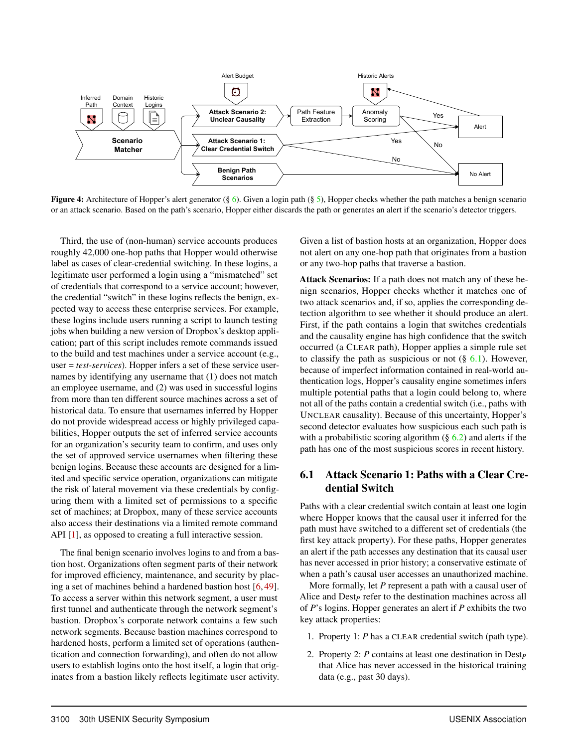

**Figure 4:** Architecture of Hopper's alert generator (§ 6). Given a login path (§ 5), Hopper checks whether the path matches a benign scenario or an attack scenario. Based on the path's scenario, Hopper either discards the path or generates an alert if the scenario's detector triggers.

Third, the use of (non-human) service accounts produces roughly 42,000 one-hop paths that Hopper would otherwise label as cases of clear-credential switching. In these logins, a legitimate user performed a login using a "mismatched" set of credentials that correspond to a service account; however, the credential "switch" in these logins reflects the benign, expected way to access these enterprise services. For example, these logins include users running a script to launch testing jobs when building a new version of Dropbox's desktop application; part of this script includes remote commands issued to the build and test machines under a service account (e.g., user = *test-services*). Hopper infers a set of these service usernames by identifying any username that (1) does not match an employee username, and (2) was used in successful logins from more than ten different source machines across a set of historical data. To ensure that usernames inferred by Hopper do not provide widespread access or highly privileged capabilities, Hopper outputs the set of inferred service accounts for an organization's security team to confirm, and uses only the set of approved service usernames when filtering these benign logins. Because these accounts are designed for a limited and specific service operation, organizations can mitigate the risk of lateral movement via these credentials by configuring them with a limited set of permissions to a specific set of machines; at Dropbox, many of these service accounts also access their destinations via a limited remote command API [1], as opposed to creating a full interactive session.

The final benign scenario involves logins to and from a bastion host. Organizations often segment parts of their network for improved efficiency, maintenance, and security by placing a set of machines behind a hardened bastion host [6, 49]. To access a server within this network segment, a user must first tunnel and authenticate through the network segment's bastion. Dropbox's corporate network contains a few such network segments. Because bastion machines correspond to hardened hosts, perform a limited set of operations (authentication and connection forwarding), and often do not allow users to establish logins onto the host itself, a login that originates from a bastion likely reflects legitimate user activity. Given a list of bastion hosts at an organization, Hopper does not alert on any one-hop path that originates from a bastion or any two-hop paths that traverse a bastion.

Attack Scenarios: If a path does not match any of these benign scenarios, Hopper checks whether it matches one of two attack scenarios and, if so, applies the corresponding detection algorithm to see whether it should produce an alert. First, if the path contains a login that switches credentials and the causality engine has high confidence that the switch occurred (a CLEAR path), Hopper applies a simple rule set to classify the path as suspicious or not  $(\S$  6.1). However, because of imperfect information contained in real-world authentication logs, Hopper's causality engine sometimes infers multiple potential paths that a login could belong to, where not all of the paths contain a credential switch (i.e., paths with UNCLEAR causality). Because of this uncertainty, Hopper's second detector evaluates how suspicious each such path is with a probabilistic scoring algorithm  $(\S$  6.2) and alerts if the path has one of the most suspicious scores in recent history.

## 6.1 Attack Scenario 1: Paths with a Clear Credential Switch

Paths with a clear credential switch contain at least one login where Hopper knows that the causal user it inferred for the path must have switched to a different set of credentials (the first key attack property). For these paths, Hopper generates an alert if the path accesses any destination that its causal user has never accessed in prior history; a conservative estimate of when a path's causal user accesses an unauthorized machine.

More formally, let *P* represent a path with a causal user of Alice and Dest<sub>*P*</sub> refer to the destination machines across all of *P*'s logins. Hopper generates an alert if *P* exhibits the two key attack properties:

- 1. Property 1: *P* has a CLEAR credential switch (path type).
- 2. Property 2: *P* contains at least one destination in Dest*<sup>P</sup>* that Alice has never accessed in the historical training data (e.g., past 30 days).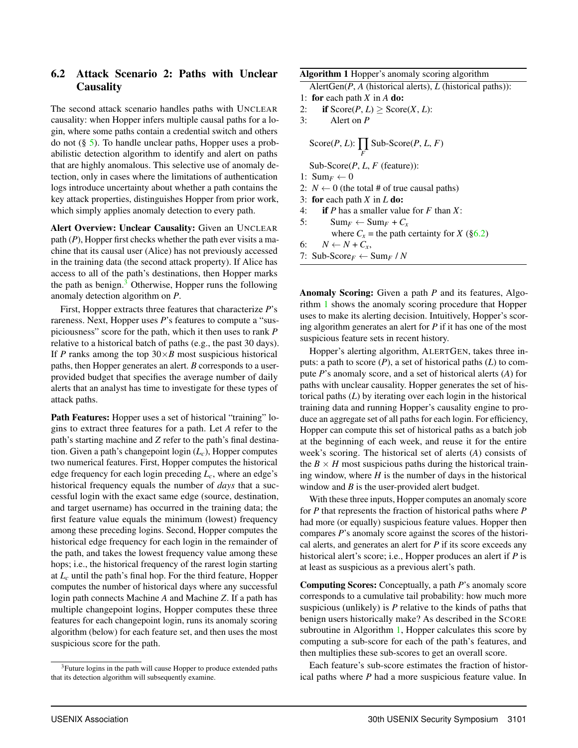## 6.2 Attack Scenario 2: Paths with Unclear **Causality**

The second attack scenario handles paths with UNCLEAR causality: when Hopper infers multiple causal paths for a login, where some paths contain a credential switch and others do not (§ 5). To handle unclear paths, Hopper uses a probabilistic detection algorithm to identify and alert on paths that are highly anomalous. This selective use of anomaly detection, only in cases where the limitations of authentication logs introduce uncertainty about whether a path contains the key attack properties, distinguishes Hopper from prior work, which simply applies anomaly detection to every path.

Alert Overview: Unclear Causality: Given an UNCLEAR path (*P*), Hopper first checks whether the path ever visits a machine that its causal user (Alice) has not previously accessed in the training data (the second attack property). If Alice has access to all of the path's destinations, then Hopper marks the path as benign. $3$  Otherwise, Hopper runs the following anomaly detection algorithm on *P*.

First, Hopper extracts three features that characterize *P*'s rareness. Next, Hopper uses *P*'s features to compute a "suspiciousness" score for the path, which it then uses to rank *P* relative to a historical batch of paths (e.g., the past 30 days). If *P* ranks among the top  $30 \times B$  most suspicious historical paths, then Hopper generates an alert. *B* corresponds to a userprovided budget that specifies the average number of daily alerts that an analyst has time to investigate for these types of attack paths.

Path Features: Hopper uses a set of historical "training" logins to extract three features for a path. Let *A* refer to the path's starting machine and *Z* refer to the path's final destination. Given a path's changepoint login (*Lc*), Hopper computes two numerical features. First, Hopper computes the historical edge frequency for each login preceding  $L_c$ , where an edge's historical frequency equals the number of *days* that a successful login with the exact same edge (source, destination, and target username) has occurred in the training data; the first feature value equals the minimum (lowest) frequency among these preceding logins. Second, Hopper computes the historical edge frequency for each login in the remainder of the path, and takes the lowest frequency value among these hops; i.e., the historical frequency of the rarest login starting at  $L_c$  until the path's final hop. For the third feature, Hopper computes the number of historical days where any successful login path connects Machine *A* and Machine *Z*. If a path has multiple changepoint logins, Hopper computes these three features for each changepoint login, runs its anomaly scoring algorithm (below) for each feature set, and then uses the most suspicious score for the path.

#### Algorithm 1 Hopper's anomaly scoring algorithm

```
AlertGen(P, A (historical alerts), L (historical paths)):
```
- 1: for each path *X* in *A* do:
- 2: **if** Score(*P*, *L*)  $\geq$  Score(*X*, *L*):<br>3: Alert on *P*
- Alert on *P*

$$
Score(P, L): \prod_F Sub-Score(P, L, F)
$$

Sub-Score(*P*, *L*, *F* (feature)):

- 1:  $\text{Sum}_F \leftarrow 0$
- 2:  $N \leftarrow 0$  (the total # of true causal paths)
- 3: for each path *X* in *L* do:
- 4: if *P* has a smaller value for *F* than *X*:
- 5:  $\text{Sum}_F \leftarrow \text{Sum}_F + C_x$
- where  $C_x$  = the path certainty for *X* (§6.2)
- 6:  $N \leftarrow N + C_x$
- 7: Sub-Score<sub>F</sub>  $\leftarrow$  Sum<sub>F</sub> / N

Anomaly Scoring: Given a path *P* and its features, Algorithm 1 shows the anomaly scoring procedure that Hopper uses to make its alerting decision. Intuitively, Hopper's scoring algorithm generates an alert for *P* if it has one of the most suspicious feature sets in recent history.

Hopper's alerting algorithm, ALERTGEN, takes three inputs: a path to score (*P*), a set of historical paths (*L*) to compute *P*'s anomaly score, and a set of historical alerts (*A*) for paths with unclear causality. Hopper generates the set of historical paths (*L*) by iterating over each login in the historical training data and running Hopper's causality engine to produce an aggregate set of all paths for each login. For efficiency, Hopper can compute this set of historical paths as a batch job at the beginning of each week, and reuse it for the entire week's scoring. The historical set of alerts (*A*) consists of the  $B \times H$  most suspicious paths during the historical training window, where  $H$  is the number of days in the historical window and *B* is the user-provided alert budget.

With these three inputs, Hopper computes an anomaly score for *P* that represents the fraction of historical paths where *P* had more (or equally) suspicious feature values. Hopper then compares *P*'s anomaly score against the scores of the historical alerts, and generates an alert for *P* if its score exceeds any historical alert's score; i.e., Hopper produces an alert if *P* is at least as suspicious as a previous alert's path.

Computing Scores: Conceptually, a path *P*'s anomaly score corresponds to a cumulative tail probability: how much more suspicious (unlikely) is *P* relative to the kinds of paths that benign users historically make? As described in the SCORE subroutine in Algorithm 1, Hopper calculates this score by computing a sub-score for each of the path's features, and then multiplies these sub-scores to get an overall score.

Each feature's sub-score estimates the fraction of historical paths where *P* had a more suspicious feature value. In

<sup>&</sup>lt;sup>3</sup>Future logins in the path will cause Hopper to produce extended paths that its detection algorithm will subsequently examine.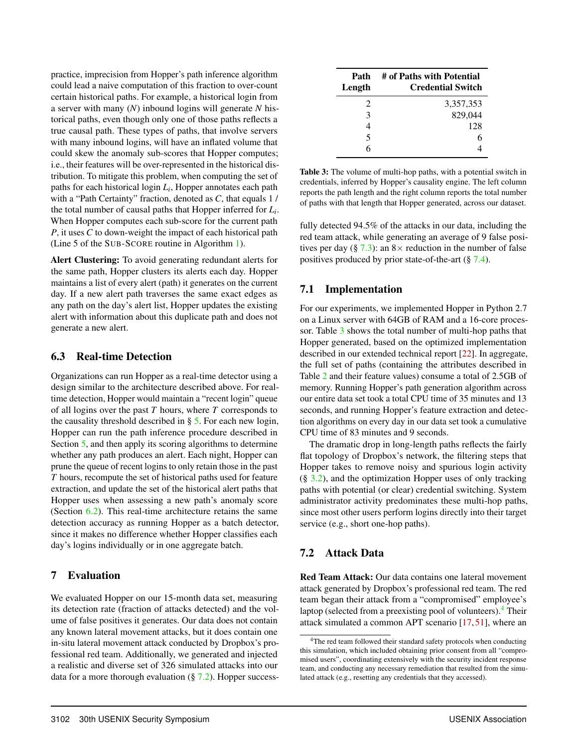practice, imprecision from Hopper's path inference algorithm could lead a naive computation of this fraction to over-count certain historical paths. For example, a historical login from a server with many (*N*) inbound logins will generate *N* historical paths, even though only one of those paths reflects a true causal path. These types of paths, that involve servers with many inbound logins, will have an inflated volume that could skew the anomaly sub-scores that Hopper computes; i.e., their features will be over-represented in the historical distribution. To mitigate this problem, when computing the set of paths for each historical login *Li*, Hopper annotates each path with a "Path Certainty" fraction, denoted as *C*, that equals 1 / the total number of causal paths that Hopper inferred for *Li*. When Hopper computes each sub-score for the current path *P*, it uses *C* to down-weight the impact of each historical path (Line 5 of the SUB-SCORE routine in Algorithm 1).

Alert Clustering: To avoid generating redundant alerts for the same path, Hopper clusters its alerts each day. Hopper maintains a list of every alert (path) it generates on the current day. If a new alert path traverses the same exact edges as any path on the day's alert list, Hopper updates the existing alert with information about this duplicate path and does not generate a new alert.

### 6.3 Real-time Detection

Organizations can run Hopper as a real-time detector using a design similar to the architecture described above. For realtime detection, Hopper would maintain a "recent login" queue of all logins over the past *T* hours, where *T* corresponds to the causality threshold described in § 5. For each new login, Hopper can run the path inference procedure described in Section 5, and then apply its scoring algorithms to determine whether any path produces an alert. Each night, Hopper can prune the queue of recent logins to only retain those in the past *T* hours, recompute the set of historical paths used for feature extraction, and update the set of the historical alert paths that Hopper uses when assessing a new path's anomaly score (Section 6.2). This real-time architecture retains the same detection accuracy as running Hopper as a batch detector, since it makes no difference whether Hopper classifies each day's logins individually or in one aggregate batch.

## 7 Evaluation

We evaluated Hopper on our 15-month data set, measuring its detection rate (fraction of attacks detected) and the volume of false positives it generates. Our data does not contain any known lateral movement attacks, but it does contain one in-situ lateral movement attack conducted by Dropbox's professional red team. Additionally, we generated and injected a realistic and diverse set of 326 simulated attacks into our data for a more thorough evaluation  $(\S 7.2)$ . Hopper success-

| Path<br>Length              | # of Paths with Potential<br><b>Credential Switch</b> |
|-----------------------------|-------------------------------------------------------|
| $\mathcal{D}_{\mathcal{L}}$ | 3,357,353                                             |
| 3                           | 829,044                                               |
| 4                           | 128                                                   |
| 5                           | 6                                                     |
| 6                           |                                                       |

Table 3: The volume of multi-hop paths, with a potential switch in credentials, inferred by Hopper's causality engine. The left column reports the path length and the right column reports the total number of paths with that length that Hopper generated, across our dataset.

fully detected 94.5% of the attacks in our data, including the red team attack, while generating an average of 9 false positives per day (§ 7.3): an  $8 \times$  reduction in the number of false positives produced by prior state-of-the-art (§ 7.4).

# 7.1 Implementation

For our experiments, we implemented Hopper in Python 2.7 on a Linux server with 64GB of RAM and a 16-core processor. Table 3 shows the total number of multi-hop paths that Hopper generated, based on the optimized implementation described in our extended technical report [22]. In aggregate, the full set of paths (containing the attributes described in Table 2 and their feature values) consume a total of 2.5GB of memory. Running Hopper's path generation algorithm across our entire data set took a total CPU time of 35 minutes and 13 seconds, and running Hopper's feature extraction and detection algorithms on every day in our data set took a cumulative CPU time of 83 minutes and 9 seconds.

The dramatic drop in long-length paths reflects the fairly flat topology of Dropbox's network, the filtering steps that Hopper takes to remove noisy and spurious login activity  $(\S$  3.2), and the optimization Hopper uses of only tracking paths with potential (or clear) credential switching. System administrator activity predominates these multi-hop paths, since most other users perform logins directly into their target service (e.g., short one-hop paths).

# 7.2 Attack Data

Red Team Attack: Our data contains one lateral movement attack generated by Dropbox's professional red team. The red team began their attack from a "compromised" employee's laptop (selected from a preexisting pool of volunteers).<sup>4</sup> Their attack simulated a common APT scenario [17, 51], where an

<sup>&</sup>lt;sup>4</sup>The red team followed their standard safety protocols when conducting this simulation, which included obtaining prior consent from all "compromised users", coordinating extensively with the security incident response team, and conducting any necessary remediation that resulted from the simulated attack (e.g., resetting any credentials that they accessed).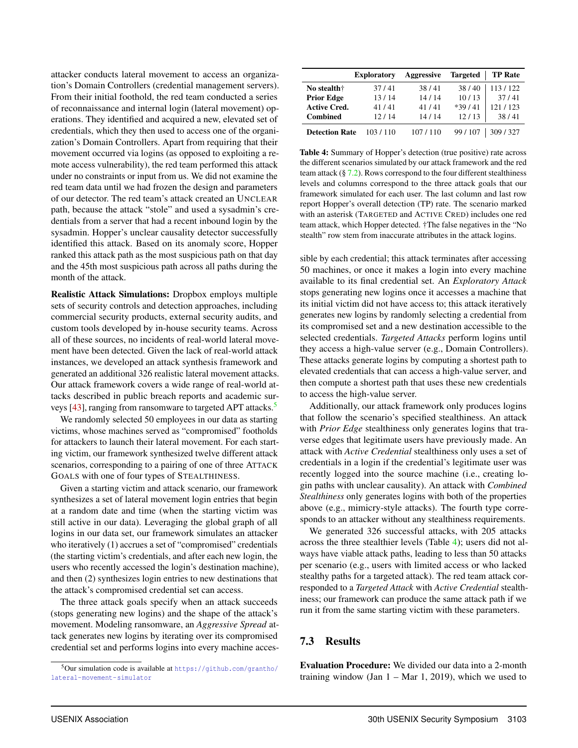attacker conducts lateral movement to access an organization's Domain Controllers (credential management servers). From their initial foothold, the red team conducted a series of reconnaissance and internal login (lateral movement) operations. They identified and acquired a new, elevated set of credentials, which they then used to access one of the organization's Domain Controllers. Apart from requiring that their movement occurred via logins (as opposed to exploiting a remote access vulnerability), the red team performed this attack under no constraints or input from us. We did not examine the red team data until we had frozen the design and parameters of our detector. The red team's attack created an UNCLEAR path, because the attack "stole" and used a sysadmin's credentials from a server that had a recent inbound login by the sysadmin. Hopper's unclear causality detector successfully identified this attack. Based on its anomaly score, Hopper ranked this attack path as the most suspicious path on that day and the 45th most suspicious path across all paths during the month of the attack.

Realistic Attack Simulations: Dropbox employs multiple sets of security controls and detection approaches, including commercial security products, external security audits, and custom tools developed by in-house security teams. Across all of these sources, no incidents of real-world lateral movement have been detected. Given the lack of real-world attack instances, we developed an attack synthesis framework and generated an additional 326 realistic lateral movement attacks. Our attack framework covers a wide range of real-world attacks described in public breach reports and academic surveys [43], ranging from ransomware to targeted APT attacks.<sup>5</sup>

We randomly selected 50 employees in our data as starting victims, whose machines served as "compromised" footholds for attackers to launch their lateral movement. For each starting victim, our framework synthesized twelve different attack scenarios, corresponding to a pairing of one of three ATTACK GOALS with one of four types of STEALTHINESS.

Given a starting victim and attack scenario, our framework synthesizes a set of lateral movement login entries that begin at a random date and time (when the starting victim was still active in our data). Leveraging the global graph of all logins in our data set, our framework simulates an attacker who iteratively (1) accrues a set of "compromised" credentials (the starting victim's credentials, and after each new login, the users who recently accessed the login's destination machine), and then (2) synthesizes login entries to new destinations that the attack's compromised credential set can access.

The three attack goals specify when an attack succeeds (stops generating new logins) and the shape of the attack's movement. Modeling ransomware, an *Aggressive Spread* attack generates new logins by iterating over its compromised credential set and performs logins into every machine acces-

|                       | <b>Exploratory</b> | Aggressive | <b>Targeted</b> | <b>TP Rate</b> |
|-----------------------|--------------------|------------|-----------------|----------------|
| No stealth†           | 37/41              | 38/41      | 38/40           | 113/122        |
| <b>Prior Edge</b>     | 13/14              | 14/14      | 10/13           | 37/41          |
| <b>Active Cred.</b>   | 41/41              | 41/41      | $*39/41$        | 121/123        |
| <b>Combined</b>       | 12/14              | 14/14      | 12/13           | 38/41          |
| <b>Detection Rate</b> | 103/110            | 107/110    | 99/107          | 309/327        |

Table 4: Summary of Hopper's detection (true positive) rate across the different scenarios simulated by our attack framework and the red team attack  $(\frac{8}{3}, 7.2)$ . Rows correspond to the four different stealthiness levels and columns correspond to the three attack goals that our framework simulated for each user. The last column and last row report Hopper's overall detection (TP) rate. The scenario marked with an asterisk (TARGETED and ACTIVE CRED) includes one red team attack, which Hopper detected. †The false negatives in the "No stealth" row stem from inaccurate attributes in the attack logins.

sible by each credential; this attack terminates after accessing 50 machines, or once it makes a login into every machine available to its final credential set. An *Exploratory Attack* stops generating new logins once it accesses a machine that its initial victim did not have access to; this attack iteratively generates new logins by randomly selecting a credential from its compromised set and a new destination accessible to the selected credentials. *Targeted Attacks* perform logins until they access a high-value server (e.g., Domain Controllers). These attacks generate logins by computing a shortest path to elevated credentials that can access a high-value server, and then compute a shortest path that uses these new credentials to access the high-value server.

Additionally, our attack framework only produces logins that follow the scenario's specified stealthiness. An attack with *Prior Edge* stealthiness only generates logins that traverse edges that legitimate users have previously made. An attack with *Active Credential* stealthiness only uses a set of credentials in a login if the credential's legitimate user was recently logged into the source machine (i.e., creating login paths with unclear causality). An attack with *Combined Stealthiness* only generates logins with both of the properties above (e.g., mimicry-style attacks). The fourth type corresponds to an attacker without any stealthiness requirements.

We generated 326 successful attacks, with 205 attacks across the three stealthier levels (Table 4); users did not always have viable attack paths, leading to less than 50 attacks per scenario (e.g., users with limited access or who lacked stealthy paths for a targeted attack). The red team attack corresponded to a *Targeted Attack* with *Active Credential* stealthiness; our framework can produce the same attack path if we run it from the same starting victim with these parameters.

# 7.3 Results

Evaluation Procedure: We divided our data into a 2-month training window (Jan  $1 - \text{Mar } 1$ , 2019), which we used to

 $5$ Our simulation code is available at https://github.com/grantho/ lateral-movement-simulator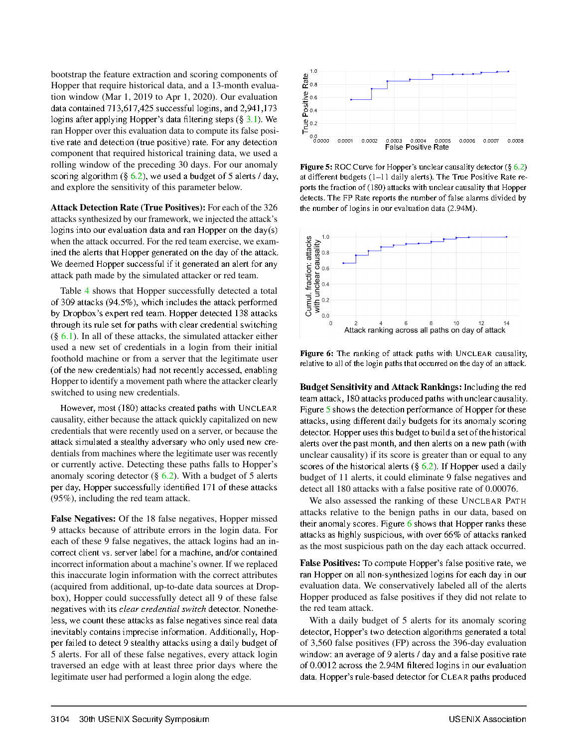bootstrap the feature extraction and scoring components of Hopper that require historical data, and a 13-month evaluation window (Mar 1, 2019 to Apr 1, 2020). Our evaluation data contained 713,617,425 successful logins, and 2,941,173 logins after applying Hopper's data filtering steps  $(\S 3.1)$ . We ran Hopper over this evaluation data to compute its false positive rate and detection (true positive) rate. For any detection component that required historical training data, we used a rolling window of the preceding 30 days. For our anomaly scoring algorithm  $(\S 6.2)$ , we used a budget of 5 alerts / day, and explore the sensitivity of this parameter below.

Attack Detection Rate (True Positives): For each of the 326 attacks synthesized by our framework, we injected the attack's logins into our evaluation data and ran Hopper on the  $day(s)$ when the attack occurred. For the red team exercise, we examined the alerts that Hopper generated on the day of the attack. We deemed Hopper successful if it generated an alert for any attack path made by the simulated attacker or red team.

Table 4 shows that Hopper successfully detected a total of 309 attacks (94.5%), which includes the attack performed by Dropbox's expert red team. Hopper detected 138 attacks through its rule set for paths with clear credential switching  $(\S$  6.1). In all of these attacks, the simulated attacker either used a new set of credentials in a login from their initial foothold machine or from a server that the legitimate user (of the new credentials) had not recently accessed, enabling Hopper to identify a movement path where the attacker clearly switched to using new credentials.

However, most (180) attacks created paths with UNCLEAR causality, either because the attack quickly capitalized on new credentials that were recently used on a server, or because the attack simulated a stealthy adversary who only used new credentials from machines where the legitimate user was recently or currently active. Detecting these paths falls to Hopper's anomaly scoring detector ( $\S$  6.2). With a budget of 5 alerts per day, Hopper successfully identified 171 of these attacks  $(95\%)$ , including the red team attack.

False Negatives: Of the 18 false negatives, Hopper missed 9 attacks because of attribute errors in the login data. For each of these 9 false negatives, the attack logins had an incorrect client vs. server label for a machine, and/or contained incorrect information about a machine's owner. If we replaced this inaccurate login information with the correct attributes (acquired from additional, up-to-date data sources at Dropbox), Hopper could successfully detect all 9 of these false negatives with its *clear credential switch* detector. Nonetheless, we count these attacks as false negatives since real data inevitably contains imprecise information. Additionally, Hopper failed to detect 9 stealthy attacks using a daily budget of 5 alerts. For all of these false negatives, every attack login traversed an edge with at least three prior days where the legitimate user had performed a login along the edge.



**Figure 5:** ROC Curve for Hopper's unclear causality detector  $(\S 6.2)$ at different budgets (1-11 daily alerts). The True Positive Rate reports the fraction of (180) attacks with unclear causality that Hopper detects. The FP Rate reports the number of false alarms divided by the number of logins in our evaluation data (2.94M).



Figure 6: The ranking of attack paths with UNCLEAR causality, relative to all of the login paths that occurred on the day of an attack.

**Budget Sensitivity and Attack Rankings:** Including the red team attack, 180 attacks produced paths with unclear causality. Figure 5 shows the detection performance of Hopper for these attacks, using different daily budgets for its anomaly scoring detector. Hopper uses this budget to build a set of the historical alerts over the past month, and then alerts on a new path (with unclear causality) if its score is greater than or equal to any scores of the historical alerts  $(\S$  6.2). If Hopper used a daily budget of 11 alerts, it could eliminate 9 false negatives and detect all 180 attacks with a false positive rate of 0.00076.

We also assessed the ranking of these UNCLEAR PATH attacks relative to the benign paths in our data, based on their anomaly scores. Figure 6 shows that Hopper ranks these attacks as highly suspicious, with over 66% of attacks ranked as the most suspicious path on the day each attack occurred.

**False Positives:** To compute Hopper's false positive rate, we ran Hopper on all non-synthesized logins for each day in our evaluation data. We conservatively labeled all of the alerts Hopper produced as false positives if they did not relate to the red team attack.

With a daily budget of 5 alerts for its anomaly scoring detector, Hopper's two detection algorithms generated a total of 3,560 false positives (FP) across the 396-day evaluation window: an average of 9 alerts / day and a false positive rate of 0.0012 across the 2.94M filtered logins in our evaluation data. Hopper's rule-based detector for CLEAR paths produced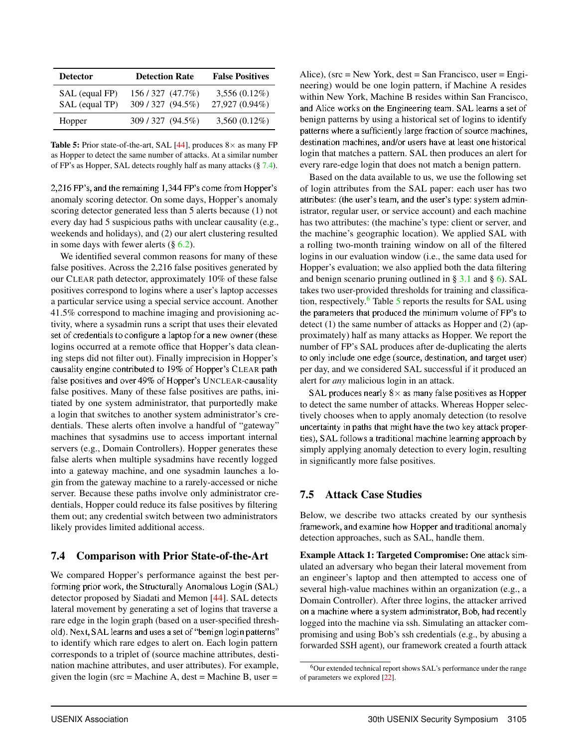| <b>Detector</b>                  | <b>Detection Rate</b>                | <b>False Positives</b>            |  |
|----------------------------------|--------------------------------------|-----------------------------------|--|
| SAL (equal FP)<br>SAL (equal TP) | 156/327 (47.7%)<br>309 / 327 (94.5%) | $3,556(0.12\%)$<br>27,927 (0.94%) |  |
| Hopper                           | 309/327 (94.5%)                      | $3,560(0.12\%)$                   |  |

**Table 5:** Prior state-of-the-art, SAL [44], produces  $8 \times$  as many FP as Hopper to detect the same number of attacks. At a similar number of FP's as Hopper, SAL detects roughly half as many attacks (§ 7.4).

2,216 FP's, and the remaining 1,344 FP's come from Hopper's anomaly scoring detector. On some days, Hopper's anomaly scoring detector generated less than 5 alerts because (1) not every day had 5 suspicious paths with unclear causality (e.g., weekends and holidays), and (2) our alert clustering resulted in some days with fewer alerts  $(\S 6.2)$ .

We identified several common reasons for many of these false positives. Across the 2,216 false positives generated by our CLEAR path detector, approximately 10% of these false positives correspond to logins where a user's laptop accesses a particular service using a special service account. Another 41.5% correspond to machine imaging and provisioning activity, where a sysadmin runs a script that uses their elevated set of credentials to configure a laptop for a new owner (these logins occurred at a remote office that Hopper's data cleaning steps did not filter out). Finally imprecision in Hopper's causality engine contributed to 19% of Hopper's CLEAR path false positives and over 49% of Hopper's UNCLEAR-causality false positives. Many of these false positives are paths, initiated by one system administrator, that purportedly make a login that switches to another system administrator's credentials. These alerts often involve a handful of "gateway" machines that sysadmins use to access important internal servers (e.g., Domain Controllers). Hopper generates these false alerts when multiple sysadmins have recently logged into a gateway machine, and one sysadmin launches a login from the gateway machine to a rarely-accessed or niche server. Because these paths involve only administrator credentials, Hopper could reduce its false positives by filtering them out; any credential switch between two administrators likely provides limited additional access.

### 7.4 Comparison with Prior State-of-the-Art

We compared Hopper's performance against the best performing prior work, the Structurally Anomalous Login (SAL) detector proposed by Siadati and Memon [44]. SAL detects lateral movement by generating a set of logins that traverse a rare edge in the login graph (based on a user-specified threshold). Next, SAL learns and uses a set of "benign login patterns" to identify which rare edges to alert on. Each login pattern corresponds to a triplet of (source machine attributes, destination machine attributes, and user attributes). For example, given the login ( $src = Machine A$ , dest = Machine B, user =

Alice), ( $src = New York$ ,  $dest = San Francisco$ ,  $user = Engi$ neering) would be one login pattern, if Machine A resides within New York, Machine B resides within San Francisco, and Alice works on the Engineering team. SAL learns a set of benign patterns by using a historical set of logins to identify patterns where a sufficiently large fraction of source machines, destination machines, and/or users have at least one historical login that matches a pattern. SAL then produces an alert for every rare-edge login that does not match a benign pattern.

Based on the data available to us, we use the following set of login attributes from the SAL paper: each user has two attributes: (the user's team, and the user's type: system administrator, regular user, or service account) and each machine has two attributes: (the machine's type: client or server, and the machine's geographic location). We applied SAL with a rolling two-month training window on all of the filtered logins in our evaluation window (i.e., the same data used for Hopper's evaluation; we also applied both the data filtering and benign scenario pruning outlined in  $\S 3.1$  and  $\S 6$ ). SAL takes two user-provided thresholds for training and classification, respectively. $6$  Table 5 reports the results for SAL using the parameters that produced the minimum volume of FP's to detect (1) the same number of attacks as Hopper and (2) (approximately) half as many attacks as Hopper. We report the number of FP's SAL produces after de-duplicating the alerts to only include one edge (source, destination, and target user) per day, and we considered SAL successful if it produced an alert for *any* malicious login in an attack.

SAL produces nearly  $8 \times$  as many false positives as Hopper to detect the same number of attacks. Whereas Hopper selectively chooses when to apply anomaly detection (to resolve uncertainty in paths that might have the two key attack properties), SAL follows a traditional machine learning approach by simply applying anomaly detection to every login, resulting in significantly more false positives.

### 7.5 Attack Case Studies

Below, we describe two attacks created by our synthesis framework, and examine how Hopper and traditional anomaly detection approaches, such as SAL, handle them.

Example Attack 1: Targeted Compromise: One attack simulated an adversary who began their lateral movement from an engineer's laptop and then attempted to access one of several high-value machines within an organization (e.g., a Domain Controller). After three logins, the attacker arrived on a machine where a system administrator, Bob, had recently logged into the machine via ssh. Simulating an attacker compromising and using Bob's ssh credentials (e.g., by abusing a forwarded SSH agent), our framework created a fourth attack

<sup>6</sup>Our extended technical report shows SAL's performance under the range of parameters we explored [22].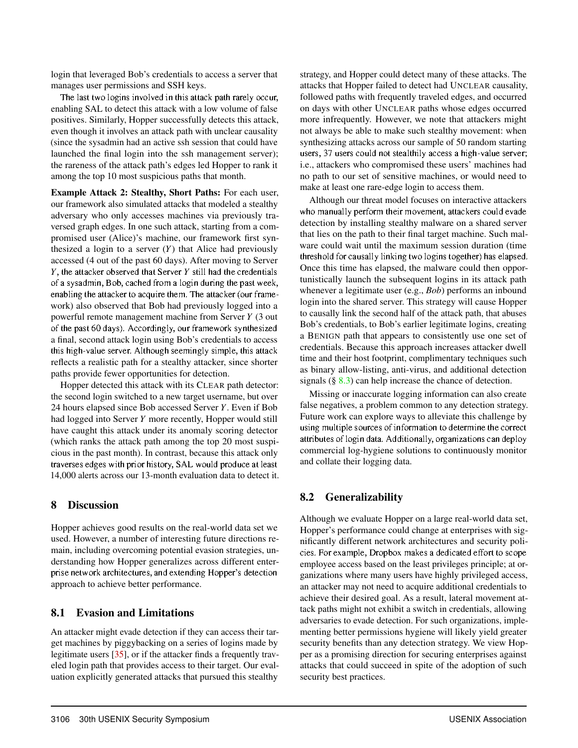login that leveraged Bob's credentials to access a server that manages user permissions and SSH keys.

The last two logins involved in this attack path rarely occur, enabling SAL to detect this attack with a low volume of false positives. Similarly, Hopper successfully detects this attack, even though it involves an attack path with unclear causality (since the sysadmin had an active ssh session that could have launched the final login into the ssh management server); the rareness of the attack path's edges led Hopper to rank it among the top 10 most suspicious paths that month.

Example Attack 2: Stealthy, Short Paths: For each user, our framework also simulated attacks that modeled a stealthy adversary who only accesses machines via previously traversed graph edges. In one such attack, starting from a compromised user (Alice)'s machine, our framework first synthesized a login to a server (*Y*) that Alice had previously accessed (4 out of the past 60 days). After moving to Server *Y*, the attacker observed that Server *Y* still had the credentials of a sysadmin, Bob, cached from a login during the past week, enabling the attacker to acquire them. The attacker (our framework) also observed that Bob had previously logged into a powerful remote management machine from Server *Y* (3 out of the past 60 days). Accordingly, our framework synthesized a final, second attack login using Bob's credentials to access this high-value server. Although seemingly simple, this attack reflects a realistic path for a stealthy attacker, since shorter paths provide fewer opportunities for detection.

Hopper detected this attack with its CLEAR path detector: the second login switched to a new target username, but over 24 hours elapsed since Bob accessed Server *Y*. Even if Bob had logged into Server *Y* more recently, Hopper would still have caught this attack under its anomaly scoring detector (which ranks the attack path among the top 20 most suspicious in the past month). In contrast, because this attack only traverses edges with prior history, SAL would produce at least 14,000 alerts across our 13-month evaluation data to detect it.

### 8 Discussion

Hopper achieves good results on the real-world data set we used. However, a number of interesting future directions remain, including overcoming potential evasion strategies, understanding how Hopper generalizes across different enterprise network architectures, and extending Hopper's detection approach to achieve better performance.

### 8.1 Evasion and Limitations

An attacker might evade detection if they can access their target machines by piggybacking on a series of logins made by legitimate users [35], or if the attacker finds a frequently traveled login path that provides access to their target. Our evaluation explicitly generated attacks that pursued this stealthy

strategy, and Hopper could detect many of these attacks. The attacks that Hopper failed to detect had UNCLEAR causality, followed paths with frequently traveled edges, and occurred on days with other UNCLEAR paths whose edges occurred more infrequently. However, we note that attackers might not always be able to make such stealthy movement: when synthesizing attacks across our sample of 50 random starting users, 37 users could not stealthily access a high-value server; i.e., attackers who compromised these users' machines had no path to our set of sensitive machines, or would need to make at least one rare-edge login to access them.

Although our threat model focuses on interactive attackers who manually perform their movement, attackers could evade detection by installing stealthy malware on a shared server that lies on the path to their final target machine. Such malware could wait until the maximum session duration (time threshold for causally linking two logins together) has elapsed. Once this time has elapsed, the malware could then opportunistically launch the subsequent logins in its attack path whenever a legitimate user (e.g., *Bob*) performs an inbound login into the shared server. This strategy will cause Hopper to causally link the second half of the attack path, that abuses Bob's credentials, to Bob's earlier legitimate logins, creating a BENIGN path that appears to consistently use one set of credentials. Because this approach increases attacker dwell time and their host footprint, complimentary techniques such as binary allow-listing, anti-virus, and additional detection signals  $(\S$  8.3) can help increase the chance of detection.

Missing or inaccurate logging information can also create false negatives, a problem common to any detection strategy. Future work can explore ways to alleviate this challenge by using multiple sources of information to determine the correct attributes of login data. Additionally, organizations can deploy commercial log-hygiene solutions to continuously monitor and collate their logging data.

## 8.2 Generalizability

Although we evaluate Hopper on a large real-world data set, Hopper's performance could change at enterprises with significantly different network architectures and security policies. For example, Dropbox makes a dedicated effort to scope employee access based on the least privileges principle; at organizations where many users have highly privileged access, an attacker may not need to acquire additional credentials to achieve their desired goal. As a result, lateral movement attack paths might not exhibit a switch in credentials, allowing adversaries to evade detection. For such organizations, implementing better permissions hygiene will likely yield greater security benefits than any detection strategy. We view Hopper as a promising direction for securing enterprises against attacks that could succeed in spite of the adoption of such security best practices.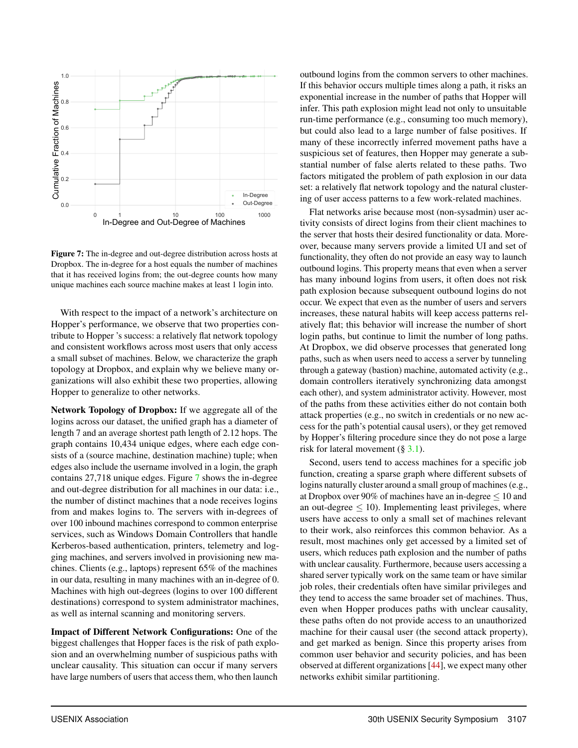

Figure 7: The in-degree and out-degree distribution across hosts at Dropbox. The in-degree for a host equals the number of machines that it has received logins from; the out-degree counts how many unique machines each source machine makes at least 1 login into.

With respect to the impact of a network's architecture on Hopper's performance, we observe that two properties contribute to Hopper 's success: a relatively flat network topology and consistent workflows across most users that only access a small subset of machines. Below, we characterize the graph topology at Dropbox, and explain why we believe many organizations will also exhibit these two properties, allowing Hopper to generalize to other networks.

Network Topology of Dropbox: If we aggregate all of the logins across our dataset, the unified graph has a diameter of length 7 and an average shortest path length of 2.12 hops. The graph contains 10,434 unique edges, where each edge consists of a (source machine, destination machine) tuple; when edges also include the username involved in a login, the graph contains 27,718 unique edges. Figure 7 shows the in-degree and out-degree distribution for all machines in our data: i.e., the number of distinct machines that a node receives logins from and makes logins to. The servers with in-degrees of over 100 inbound machines correspond to common enterprise services, such as Windows Domain Controllers that handle Kerberos-based authentication, printers, telemetry and logging machines, and servers involved in provisioning new machines. Clients (e.g., laptops) represent 65% of the machines in our data, resulting in many machines with an in-degree of 0. Machines with high out-degrees (logins to over 100 different destinations) correspond to system administrator machines, as well as internal scanning and monitoring servers.

Impact of Different Network Configurations: One of the biggest challenges that Hopper faces is the risk of path explosion and an overwhelming number of suspicious paths with unclear causality. This situation can occur if many servers have large numbers of users that access them, who then launch

outbound logins from the common servers to other machines. If this behavior occurs multiple times along a path, it risks an exponential increase in the number of paths that Hopper will infer. This path explosion might lead not only to unsuitable run-time performance (e.g., consuming too much memory), but could also lead to a large number of false positives. If many of these incorrectly inferred movement paths have a suspicious set of features, then Hopper may generate a substantial number of false alerts related to these paths. Two factors mitigated the problem of path explosion in our data set: a relatively flat network topology and the natural clustering of user access patterns to a few work-related machines.

Flat networks arise because most (non-sysadmin) user activity consists of direct logins from their client machines to the server that hosts their desired functionality or data. Moreover, because many servers provide a limited UI and set of functionality, they often do not provide an easy way to launch outbound logins. This property means that even when a server has many inbound logins from users, it often does not risk path explosion because subsequent outbound logins do not occur. We expect that even as the number of users and servers increases, these natural habits will keep access patterns relatively flat; this behavior will increase the number of short login paths, but continue to limit the number of long paths. At Dropbox, we did observe processes that generated long paths, such as when users need to access a server by tunneling through a gateway (bastion) machine, automated activity (e.g., domain controllers iteratively synchronizing data amongst each other), and system administrator activity. However, most of the paths from these activities either do not contain both attack properties (e.g., no switch in credentials or no new access for the path's potential causal users), or they get removed by Hopper's filtering procedure since they do not pose a large risk for lateral movement (§ 3.1).

Second, users tend to access machines for a specific job function, creating a sparse graph where different subsets of logins naturally cluster around a small group of machines (e.g., at Dropbox over 90% of machines have an in-degree  $\leq 10$  and an out-degree  $\leq 10$ ). Implementing least privileges, where users have access to only a small set of machines relevant to their work, also reinforces this common behavior. As a result, most machines only get accessed by a limited set of users, which reduces path explosion and the number of paths with unclear causality. Furthermore, because users accessing a shared server typically work on the same team or have similar job roles, their credentials often have similar privileges and they tend to access the same broader set of machines. Thus, even when Hopper produces paths with unclear causality, these paths often do not provide access to an unauthorized machine for their causal user (the second attack property), and get marked as benign. Since this property arises from common user behavior and security policies, and has been observed at different organizations [44], we expect many other networks exhibit similar partitioning.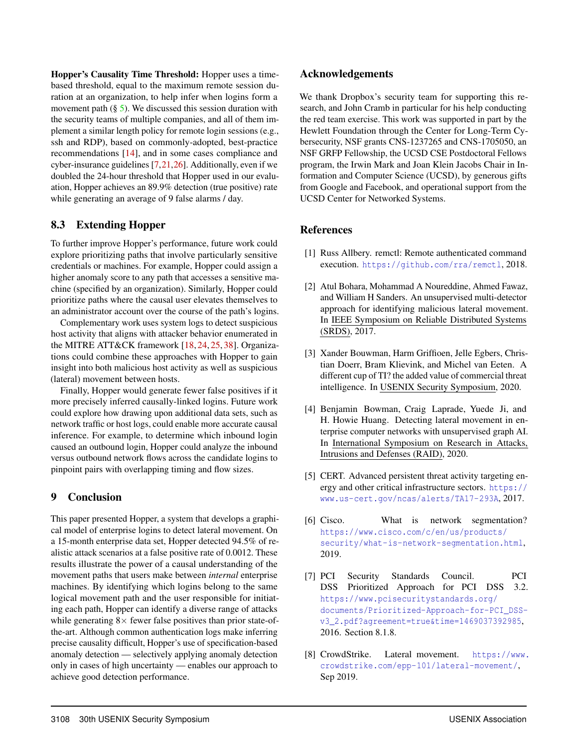Hopper's Causality Time Threshold: Hopper uses a timebased threshold, equal to the maximum remote session duration at an organization, to help infer when logins form a movement path  $(\S$  5). We discussed this session duration with the security teams of multiple companies, and all of them implement a similar length policy for remote login sessions (e.g., ssh and RDP), based on commonly-adopted, best-practice recommendations [14], and in some cases compliance and cyber-insurance guidelines [7,21,26]. Additionally, even if we doubled the 24-hour threshold that Hopper used in our evaluation, Hopper achieves an 89.9% detection (true positive) rate while generating an average of 9 false alarms / day.

## 8.3 Extending Hopper

To further improve Hopper's performance, future work could explore prioritizing paths that involve particularly sensitive credentials or machines. For example, Hopper could assign a higher anomaly score to any path that accesses a sensitive machine (specified by an organization). Similarly, Hopper could prioritize paths where the causal user elevates themselves to an administrator account over the course of the path's logins.

Complementary work uses system logs to detect suspicious host activity that aligns with attacker behavior enumerated in the MITRE ATT&CK framework [18, 24, 25, 38]. Organizations could combine these approaches with Hopper to gain insight into both malicious host activity as well as suspicious (lateral) movement between hosts.

Finally, Hopper would generate fewer false positives if it more precisely inferred causally-linked logins. Future work could explore how drawing upon additional data sets, such as network traffic or host logs, could enable more accurate causal inference. For example, to determine which inbound login caused an outbound login, Hopper could analyze the inbound versus outbound network flows across the candidate logins to pinpoint pairs with overlapping timing and flow sizes.

## 9 Conclusion

This paper presented Hopper, a system that develops a graphical model of enterprise logins to detect lateral movement. On a 15-month enterprise data set, Hopper detected 94.5% of realistic attack scenarios at a false positive rate of 0.0012. These results illustrate the power of a causal understanding of the movement paths that users make between *internal* enterprise machines. By identifying which logins belong to the same logical movement path and the user responsible for initiating each path, Hopper can identify a diverse range of attacks while generating  $8\times$  fewer false positives than prior state-ofthe-art. Although common authentication logs make inferring precise causality difficult, Hopper's use of specification-based anomaly detection — selectively applying anomaly detection only in cases of high uncertainty — enables our approach to achieve good detection performance.

### Acknowledgements

We thank Dropbox's security team for supporting this research, and John Cramb in particular for his help conducting the red team exercise. This work was supported in part by the Hewlett Foundation through the Center for Long-Term Cybersecurity, NSF grants CNS-1237265 and CNS-1705050, an NSF GRFP Fellowship, the UCSD CSE Postdoctoral Fellows program, the Irwin Mark and Joan Klein Jacobs Chair in Information and Computer Science (UCSD), by generous gifts from Google and Facebook, and operational support from the UCSD Center for Networked Systems.

## References

- [1] Russ Allbery. remctl: Remote authenticated command execution. https://github.com/rra/remctl, 2018.
- [2] Atul Bohara, Mohammad A Noureddine, Ahmed Fawaz, and William H Sanders. An unsupervised multi-detector approach for identifying malicious lateral movement. In IEEE Symposium on Reliable Distributed Systems (SRDS), 2017.
- [3] Xander Bouwman, Harm Griffioen, Jelle Egbers, Christian Doerr, Bram Klievink, and Michel van Eeten. A different cup of TI? the added value of commercial threat intelligence. In USENIX Security Symposium, 2020.
- [4] Benjamin Bowman, Craig Laprade, Yuede Ji, and H. Howie Huang. Detecting lateral movement in enterprise computer networks with unsupervised graph AI. In International Symposium on Research in Attacks, Intrusions and Defenses (RAID), 2020.
- [5] CERT. Advanced persistent threat activity targeting energy and other critical infrastructure sectors. https:// www.us-cert.gov/ncas/alerts/TA17-293A, 2017.
- [6] Cisco. What is network segmentation? https://www.cisco.com/c/en/us/products/ security/what-is-network-segmentation.html, 2019.
- [7] PCI Security Standards Council. PCI DSS Prioritized Approach for PCI DSS 3.2. https://www.pcisecuritystandards.org/ documents/Prioritized-Approach-for-PCI\_DSSv3\_2.pdf?agreement=true&time=1469037392985, 2016. Section 8.1.8.
- [8] CrowdStrike. Lateral movement. https://www. crowdstrike.com/epp-101/lateral-movement/, Sep 2019.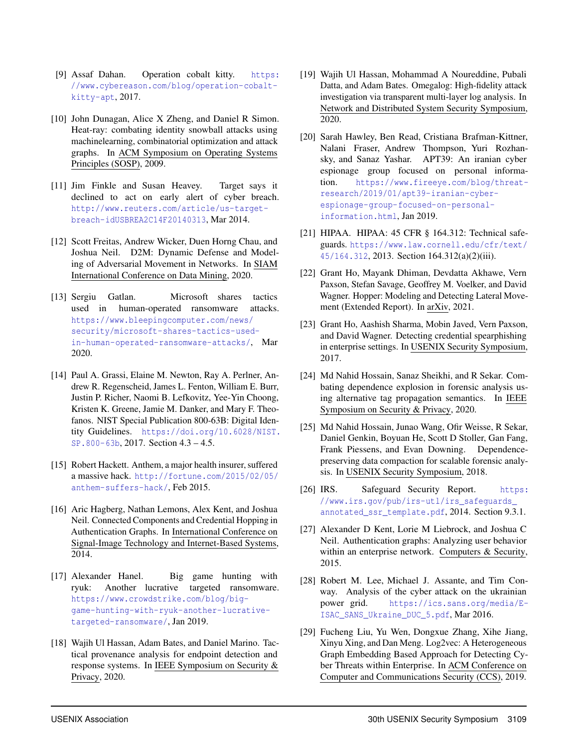- [9] Assaf Dahan. Operation cobalt kitty. https: //www.cybereason.com/blog/operation-cobaltkitty-apt, 2017.
- [10] John Dunagan, Alice X Zheng, and Daniel R Simon. Heat-ray: combating identity snowball attacks using machinelearning, combinatorial optimization and attack graphs. In ACM Symposium on Operating Systems Principles (SOSP), 2009.
- [11] Jim Finkle and Susan Heavey. Target says it declined to act on early alert of cyber breach. http://www.reuters.com/article/us-targetbreach-idUSBREA2C14F20140313, Mar 2014.
- [12] Scott Freitas, Andrew Wicker, Duen Horng Chau, and Joshua Neil. D2M: Dynamic Defense and Modeling of Adversarial Movement in Networks. In SIAM International Conference on Data Mining, 2020.
- [13] Sergiu Gatlan. Microsoft shares tactics used in human-operated ransomware attacks. https://www.bleepingcomputer.com/news/ security/microsoft-shares-tactics-usedin-human-operated-ransomware-attacks/, Mar 2020.
- [14] Paul A. Grassi, Elaine M. Newton, Ray A. Perlner, Andrew R. Regenscheid, James L. Fenton, William E. Burr, Justin P. Richer, Naomi B. Lefkovitz, Yee-Yin Choong, Kristen K. Greene, Jamie M. Danker, and Mary F. Theofanos. NIST Special Publication 800-63B: Digital Identity Guidelines. https://doi.org/10.6028/NIST. SP.800-63b, 2017. Section 4.3 – 4.5.
- [15] Robert Hackett. Anthem, a major health insurer, suffered a massive hack. http://fortune.com/2015/02/05/ anthem-suffers-hack/, Feb 2015.
- [16] Aric Hagberg, Nathan Lemons, Alex Kent, and Joshua Neil. Connected Components and Credential Hopping in Authentication Graphs. In International Conference on Signal-Image Technology and Internet-Based Systems, 2014.
- [17] Alexander Hanel. Big game hunting with ryuk: Another lucrative targeted ransomware. https://www.crowdstrike.com/blog/biggame-hunting-with-ryuk-another-lucrativetargeted-ransomware/, Jan 2019.
- [18] Wajih Ul Hassan, Adam Bates, and Daniel Marino. Tactical provenance analysis for endpoint detection and response systems. In IEEE Symposium on Security & Privacy, 2020.
- [19] Wajih Ul Hassan, Mohammad A Noureddine, Pubali Datta, and Adam Bates. Omegalog: High-fidelity attack investigation via transparent multi-layer log analysis. In Network and Distributed System Security Symposium, 2020.
- [20] Sarah Hawley, Ben Read, Cristiana Brafman-Kittner, Nalani Fraser, Andrew Thompson, Yuri Rozhansky, and Sanaz Yashar. APT39: An iranian cyber espionage group focused on personal information. https://www.fireeye.com/blog/threatresearch/2019/01/apt39-iranian-cyberespionage-group-focused-on-personalinformation.html, Jan 2019.
- [21] HIPAA. HIPAA: 45 CFR § 164.312: Technical safeguards. https://www.law.cornell.edu/cfr/text/ 45/164.312, 2013. Section 164.312(a)(2)(iii).
- [22] Grant Ho, Mayank Dhiman, Devdatta Akhawe, Vern Paxson, Stefan Savage, Geoffrey M. Voelker, and David Wagner. Hopper: Modeling and Detecting Lateral Movement (Extended Report). In arXiv, 2021.
- [23] Grant Ho, Aashish Sharma, Mobin Javed, Vern Paxson, and David Wagner. Detecting credential spearphishing in enterprise settings. In USENIX Security Symposium, 2017.
- [24] Md Nahid Hossain, Sanaz Sheikhi, and R Sekar. Combating dependence explosion in forensic analysis using alternative tag propagation semantics. In IEEE Symposium on Security & Privacy, 2020.
- [25] Md Nahid Hossain, Junao Wang, Ofir Weisse, R Sekar, Daniel Genkin, Boyuan He, Scott D Stoller, Gan Fang, Frank Piessens, and Evan Downing. Dependencepreserving data compaction for scalable forensic analysis. In USENIX Security Symposium, 2018.
- [26] IRS. Safeguard Security Report. https: //www.irs.gov/pub/irs-utl/irs\_safeguards\_ annotated\_ssr\_template.pdf, 2014. Section 9.3.1.
- [27] Alexander D Kent, Lorie M Liebrock, and Joshua C Neil. Authentication graphs: Analyzing user behavior within an enterprise network. Computers & Security, 2015.
- [28] Robert M. Lee, Michael J. Assante, and Tim Conway. Analysis of the cyber attack on the ukrainian power grid. https://ics.sans.org/media/E-ISAC\_SANS\_Ukraine\_DUC\_5.pdf, Mar 2016.
- [29] Fucheng Liu, Yu Wen, Dongxue Zhang, Xihe Jiang, Xinyu Xing, and Dan Meng. Log2vec: A Heterogeneous Graph Embedding Based Approach for Detecting Cyber Threats within Enterprise. In ACM Conference on Computer and Communications Security (CCS), 2019.